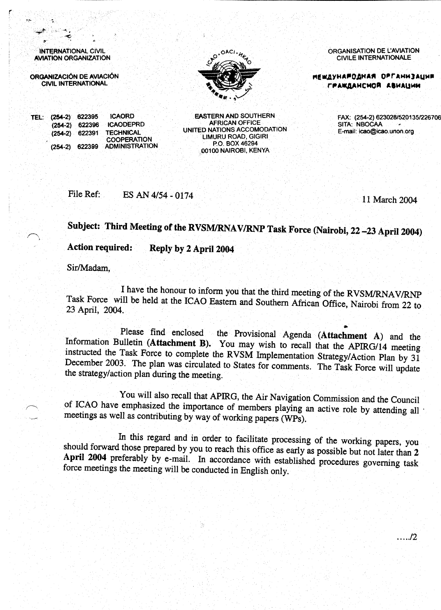**INTERNATIONAL CIVIL AVIATION ORGANIZATION** 

ORGANIZACIÓN DE AVIACIÓN **CIVIL INTERNATIONAL** 



**ORGANISATION DE L'AVIATION CIVILE INTERNATIONALE** 

**МЕШДУНАРОДНАЯ ОРГАНИЗАЦИР** ГРАЖДАНСМОЙ АВИАЦИИ

E-mail: icao@icao.unon.org

SITA: NBOCAA

TEL: (254-2) 622395 **ICAORD**  $(254-2)$  622396  $(254-2)$  622391  $(254-2)$  622399

File Ref:

**ICAODEPRD TECHNICAL COOPERATION ADMINISTRATION** 

**EASTERN AND SOUTHERN AFRICAN OFFICE** UNITED NATIONS ACCOMODATION LIMURU ROAD, GIGIRI P.O. BOX 46294 00100 NAIROBI, KENYA

11 March 2004

FAX: (254-2) 623028/520135/226706

Subject: Third Meeting of the RVSM/RNAV/RNP Task Force (Nairobi, 22-23 April 2004)

**Action required:** Reply by 2 April 2004

ES AN 4/54 - 0174

Sir/Madam,

I have the honour to inform you that the third meeting of the RVSM/RNAV/RNP Task Force will be held at the ICAO Eastern and Southern African Office, Nairobi from 22 to 23 April, 2004.

Please find enclosed the Provisional Agenda (Attachment A) and the Information Bulletin (Attachment B). You may wish to recall that the APIRG/14 meeting instructed the Task Force to complete the RVSM Implementation Strategy/Action Plan by 31 December 2003. The plan was circulated to States for comments. The Task Force will update the strategy/action plan during the meeting.

You will also recall that APIRG, the Air Navigation Commission and the Council of ICAO have emphasized the importance of members playing an active role by attending all meetings as well as contributing by way of working papers (WPs).

In this regard and in order to facilitate processing of the working papers, you should forward those prepared by you to reach this office as early as possible but not later than 2 April 2004 preferably by e-mail. In accordance with established procedures governing task force meetings the meeting will be conducted in English only.

 $\ldots$ ./2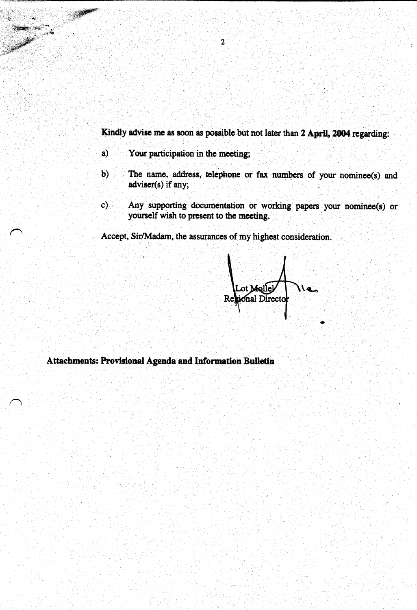Kindly advise me as soon as possible but not later than 2 April, 2004 regarding:

 $a)$ Your participation in the meeting;

- The name, address, telephone or fax numbers of your nominee(s) and  $\mathbf{b}$ adviser(s) if any;
- Any supporting documentation or working papers your nominee(s) or  $\mathbf{c})$ yourself wish to present to the meeting.

Accept, Sir/Madam, the assurances of my highest consideration.

ot Molle) **ional Directo** 

Attachments: Provisional Agenda and Information Bulletin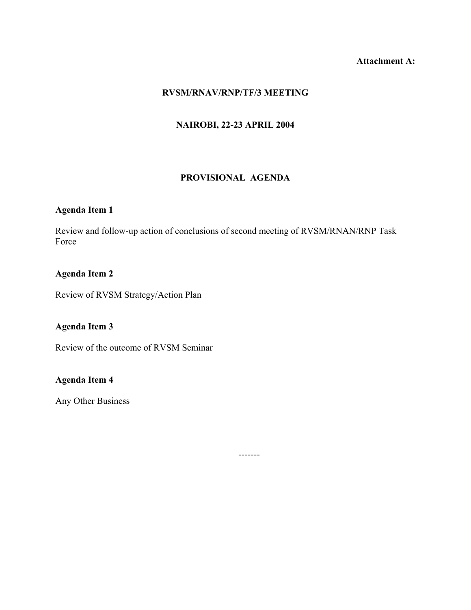## **Attachment A:**

#### **RVSM/RNAV/RNP/TF/3 MEETING**

## **NAIROBI, 22-23 APRIL 2004**

#### **PROVISIONAL AGENDA**

# **Agenda Item 1**

Review and follow-up action of conclusions of second meeting of RVSM/RNAN/RNP Task Force

#### **Agenda Item 2**

Review of RVSM Strategy/Action Plan

### **Agenda Item 3**

Review of the outcome of RVSM Seminar

# **Agenda Item 4**

Any Other Business

-------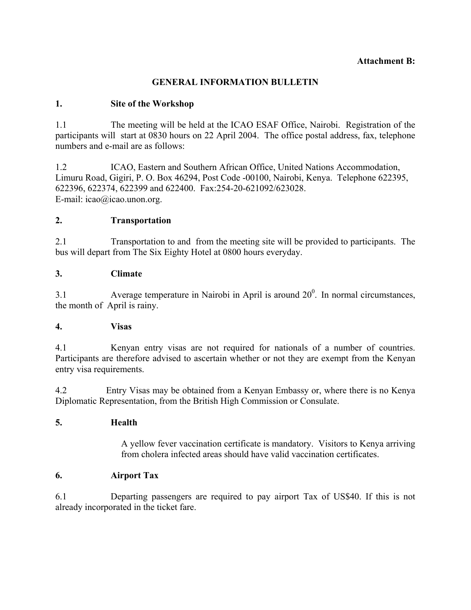#### **Attachment B:**

### **GENERAL INFORMATION BULLETIN**

### **1. Site of the Workshop**

1.1 The meeting will be held at the ICAO ESAF Office, Nairobi. Registration of the participants will start at 0830 hours on 22 April 2004. The office postal address, fax, telephone numbers and e-mail are as follows:

1.2 ICAO, Eastern and Southern African Office, United Nations Accommodation, Limuru Road, Gigiri, P. O. Box 46294, Post Code -00100, Nairobi, Kenya. Telephone 622395, 622396, 622374, 622399 and 622400. Fax:254-20-621092/623028. E-mail: icao@icao.unon.org.

### **2. Transportation**

2.1 Transportation to and from the meeting site will be provided to participants. The bus will depart from The Six Eighty Hotel at 0800 hours everyday.

### **3. Climate**

3.1 Average temperature in Nairobi in April is around  $20^{\circ}$ . In normal circumstances, the month of April is rainy.

### **4. Visas**

4.1 Kenyan entry visas are not required for nationals of a number of countries. Participants are therefore advised to ascertain whether or not they are exempt from the Kenyan entry visa requirements.

4.2 Entry Visas may be obtained from a Kenyan Embassy or, where there is no Kenya Diplomatic Representation, from the British High Commission or Consulate.

### **5. Health**

 A yellow fever vaccination certificate is mandatory. Visitors to Kenya arriving from cholera infected areas should have valid vaccination certificates.

### **6. Airport Tax**

6.1 Departing passengers are required to pay airport Tax of US\$40. If this is not already incorporated in the ticket fare.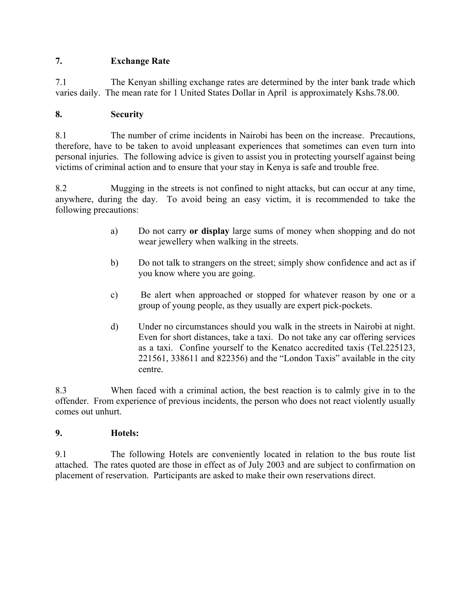## **7. Exchange Rate**

7.1 The Kenyan shilling exchange rates are determined by the inter bank trade which varies daily. The mean rate for 1 United States Dollar in April is approximately Kshs.78.00.

# **8. Security**

8.1 The number of crime incidents in Nairobi has been on the increase. Precautions, therefore, have to be taken to avoid unpleasant experiences that sometimes can even turn into personal injuries. The following advice is given to assist you in protecting yourself against being victims of criminal action and to ensure that your stay in Kenya is safe and trouble free.

8.2 Mugging in the streets is not confined to night attacks, but can occur at any time, anywhere, during the day. To avoid being an easy victim, it is recommended to take the following precautions:

- a) Do not carry **or display** large sums of money when shopping and do not wear jewellery when walking in the streets.
- b) Do not talk to strangers on the street; simply show confidence and act as if you know where you are going.
- c) Be alert when approached or stopped for whatever reason by one or a group of young people, as they usually are expert pick-pockets.
- d) Under no circumstances should you walk in the streets in Nairobi at night. Even for short distances, take a taxi. Do not take any car offering services as a taxi. Confine yourself to the Kenatco accredited taxis (Tel.225123, 221561, 338611 and 822356) and the "London Taxis" available in the city centre.

8.3 When faced with a criminal action, the best reaction is to calmly give in to the offender. From experience of previous incidents, the person who does not react violently usually comes out unhurt.

### **9. Hotels:**

9.1 The following Hotels are conveniently located in relation to the bus route list attached. The rates quoted are those in effect as of July 2003 and are subject to confirmation on placement of reservation. Participants are asked to make their own reservations direct.